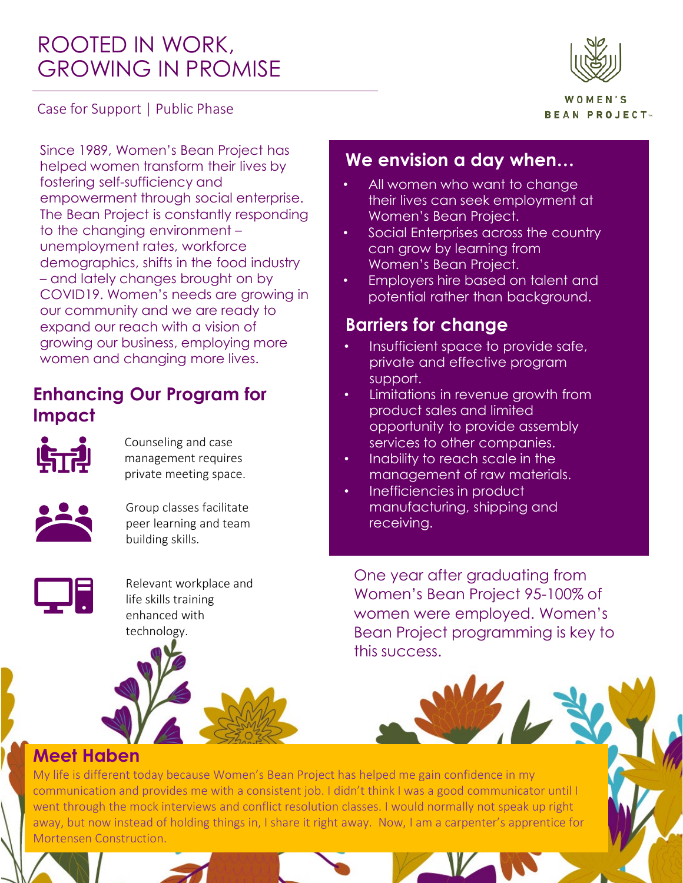# ROOTED IN WORK, GROWING IN PROMISE



Case for Support | Public Phase

WOMFN'S **BEAN PROJECT** 

Since 1989, Women's Bean Project has helped women transform their lives by fostering self-sufficiency and empowerment through social enterprise. The Bean Project is constantly responding to the changing environment – unemployment rates, workforce demographics, shifts in the food industry – and lately changes brought on by COVID19. Women's needs are growing in our community and we are ready to expand our reach with a vision of growing our business, employing more women and changing more lives.

### **Enhancing Our Program for Impact**



Counseling and case management requires private meeting space.



Group classes facilitate peer learning and team building skills.



Relevant workplace and life skills training enhanced with technology.

### **We envision a day when…**

- All women who want to change their lives can seek employment at Women's Bean Project.
- Social Enterprises across the country can grow by learning from Women's Bean Project.
- Employers hire based on talent and potential rather than background.

### **Barriers for change**

- Insufficient space to provide safe, private and effective program support.
- Limitations in revenue growth from product sales and limited opportunity to provide assembly services to other companies.
- Inability to reach scale in the management of raw materials.
- Inefficiencies in product manufacturing, shipping and receiving.

One year after graduating from Women's Bean Project 95-100% of women were employed. Women's Bean Project programming is key to this success.

#### **Meet Haben**

My life is different today because Women's Bean Project has helped me gain confidence in my communication and provides me with a consistent job. I didn't think I was a good communicator until I went through the mock interviews and conflict resolution classes. I would normally not speak up right away, but now instead of holding things in, I share it right away. Now, I am a carpenter's apprentice for Mortensen Construction.